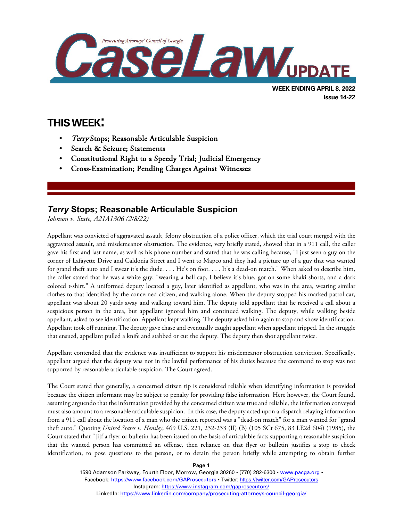

# **THIS WEEK:**

l

- Terry Stops; Reasonable Articulable Suspicion
- Search & Seizure; Statements
- Constitutional Right to a Speedy Trial; Judicial Emergency
- Cross-Examination; Pending Charges Against Witnesses

### *Terry* **Stops; Reasonable Articulable Suspicion**

*Johnson v. State, A21A1306 (2/8/22)*

Appellant was convicted of aggravated assault, felony obstruction of a police officer, which the trial court merged with the aggravated assault, and misdemeanor obstruction. The evidence, very briefly stated, showed that in a 911 call, the caller gave his first and last name, as well as his phone number and stated that he was calling because, "I just seen a guy on the corner of Lafayette Drive and Caldonia Street and I went to Mapco and they had a picture up of a guy that was wanted for grand theft auto and I swear it's the dude. . . . He's on foot. . . . It's a dead-on match." When asked to describe him, the caller stated that he was a white guy, "wearing a ball cap, I believe it's blue, got on some khaki shorts, and a dark colored t-shirt." A uniformed deputy located a guy, later identified as appellant, who was in the area, wearing similar clothes to that identified by the concerned citizen, and walking alone. When the deputy stopped his marked patrol car, appellant was about 20 yards away and walking toward him. The deputy told appellant that he received a call about a suspicious person in the area, but appellant ignored him and continued walking. The deputy, while walking beside appellant, asked to see identification. Appellant kept walking. The deputy asked him again to stop and show identification. Appellant took off running. The deputy gave chase and eventually caught appellant when appellant tripped. In the struggle that ensued, appellant pulled a knife and stabbed or cut the deputy. The deputy then shot appellant twice.

Appellant contended that the evidence was insufficient to support his misdemeanor obstruction conviction. Specifically, appellant argued that the deputy was not in the lawful performance of his duties because the command to stop was not supported by reasonable articulable suspicion. The Court agreed.

The Court stated that generally, a concerned citizen tip is considered reliable when identifying information is provided because the citizen informant may be subject to penalty for providing false information. Here however, the Court found, assuming arguendo that the information provided by the concerned citizen was true and reliable, the information conveyed must also amount to a reasonable articulable suspicion. In this case, the deputy acted upon a dispatch relaying information from a 911 call about the location of a man who the citizen reported was a "dead-on match" for a man wanted for "grand theft auto." Quoting *United States v. Hensley*, 469 U.S. 221, 232-233 (II) (B) (105 SCt 675, 83 LE2d 604) (1985), the Court stated that "[i]f a flyer or bulletin has been issued on the basis of articulable facts supporting a reasonable suspicion that the wanted person has committed an offense, then reliance on that flyer or bulletin justifies a stop to check identification, to pose questions to the person, or to detain the person briefly while attempting to obtain further

**Page 1**

1590 Adamson Parkway, Fourth Floor, Morrow, Georgia 30260 · (770) 282-6300 · [www.pacga.org](http://www.pacga.org/) · Facebook:<https://www.facebook.com/GAProsecutors> . Twitter[: https://twitter.com/GAProsecutors](https://twitter.com/GAProsecutors) Instagram[: https://www.instagram.com/gaprosecutors/](https://www.instagram.com/gaprosecutors/) LinkedIn:<https://www.linkedin.com/company/prosecuting-attorneys-council-georgia/>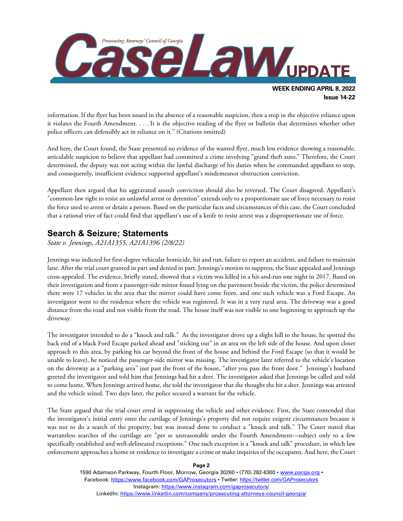

information. If the flyer has been issued in the absence of a reasonable suspicion, then a stop in the objective reliance upon it violates the Fourth Amendment. . . . It is the objective reading of the flyer or bulletin that determines whether other police officers can defensibly act in reliance on it." (Citations omitted)

And here, the Court found, the State presented no evidence of the wanted flyer, much less evidence showing a reasonable, articulable suspicion to believe that appellant had committed a crime involving "grand theft auto." Therefore, the Court determined, the deputy was not acting within the lawful discharge of his duties when he commanded appellant to stop, and consequently, insufficient evidence supported appellant's misdemeanor obstruction conviction.

Appellant then argued that his aggravated assault conviction should also be reversed. The Court disagreed. Appellant's "common-law right to resist an unlawful arrest or detention" extends only to a proportionate use of force necessary to resist the force used to arrest or detain a person. Based on the particular facts and circumstances of this case, the Court concluded that a rational trier of fact could find that appellant's use of a knife to resist arrest was a disproportionate use of force.

## **Search & Seizure; Statements**

*State v. Jennings, A21A1355, A21A1396 (2/8/22)*

Jennings was indicted for first-degree vehicular homicide, hit and run, failure to report an accident, and failure to maintain lane. After the trial court granted in part and denied in part, Jennings's motion to suppress, the State appealed and Jennings cross-appealed. The evidence, briefly stated, showed that a victim was killed in a hit-and-run one night in 2017. Based on their investigation and from a passenger-side mirror found lying on the pavement beside the victim, the police determined there were 17 vehicles in the area that the mirror could have come from, and one such vehicle was a Ford Escape. An investigator went to the residence where the vehicle was registered. It was in a very rural area. The driveway was a good distance from the road and not visible from the road. The house itself was not visible to one beginning to approach up the driveway.

The investigator intended to do a "knock and talk." As the investigator drove up a slight hill to the house, he spotted the back end of a black Ford Escape parked ahead and "sticking out" in an area on the left side of the house. And upon closer approach to this area, by parking his car beyond the front of the house and behind the Ford Escape (so that it would be unable to leave), he noticed the passenger-side mirror was missing. The investigator later referred to the vehicle's location on the driveway as a "parking area" just past the front of the house, "after you pass the front door." Jennings's husband greeted the investigator and told him that Jennings had hit a deer. The investigator asked that Jennings be called and told to come home. When Jennings arrived home, she told the investigator that she thought she hit a deer. Jennings was arrested and the vehicle seized. Two days later, the police secured a warrant for the vehicle.

The State argued that the trial court erred in suppressing the vehicle and other evidence. First, the State contended that the investigator's initial entry onto the curtilage of Jennings's property did not require exigent circumstances because it was not to do a search of the property, but was instead done to conduct a "knock and talk." The Court stated that warrantless searches of the curtilage are "per se unreasonable under the Fourth Amendment—subject only to a few specifically established and well-delineated exceptions." One such exception is a "knock and talk" procedure, in which law enforcement approaches a home or residence to investigate a crime or make inquiries of the occupants. And here, the Court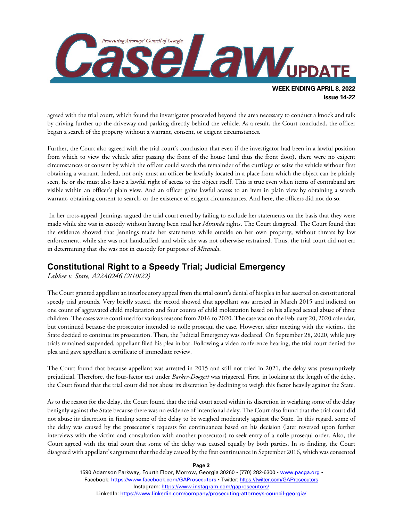

**Issue 14-22**

agreed with the trial court, which found the investigator proceeded beyond the area necessary to conduct a knock and talk by driving further up the driveway and parking directly behind the vehicle. As a result, the Court concluded, the officer began a search of the property without a warrant, consent, or exigent circumstances.

Further, the Court also agreed with the trial court's conclusion that even if the investigator had been in a lawful position from which to view the vehicle after passing the front of the house (and thus the front door), there were no exigent circumstances or consent by which the officer could search the remainder of the curtilage or seize the vehicle without first obtaining a warrant. Indeed, not only must an officer be lawfully located in a place from which the object can be plainly seen, he or she must also have a lawful right of access to the object itself. This is true even when items of contraband are visible within an officer's plain view. And an officer gains lawful access to an item in plain view by obtaining a search warrant, obtaining consent to search, or the existence of exigent circumstances. And here, the officers did not do so.

In her cross-appeal, Jennings argued the trial court erred by failing to exclude her statements on the basis that they were made while she was in custody without having been read her *Miranda* rights. The Court disagreed. The Court found that the evidence showed that Jennings made her statements while outside on her own property, without threats by law enforcement, while she was not handcuffed, and while she was not otherwise restrained. Thus, the trial court did not err in determining that she was not in custody for purposes of *Miranda*.

## **Constitutional Right to a Speedy Trial; Judicial Emergency**

*Labbee v. State, A22A0246 (2/10/22)*

The Court granted appellant an interlocutory appeal from the trial court's denial of his plea in bar asserted on constitutional speedy trial grounds. Very briefly stated, the record showed that appellant was arrested in March 2015 and indicted on one count of aggravated child molestation and four counts of child molestation based on his alleged sexual abuse of three children. The cases were continued for various reasons from 2016 to 2020. The case was on the February 20, 2020 calendar, but continued because the prosecutor intended to nolle prosequi the case. However, after meeting with the victims, the State decided to continue its prosecution. Then, the Judicial Emergency was declared. On September 28, 2020, while jury trials remained suspended, appellant filed his plea in bar. Following a video conference hearing, the trial court denied the plea and gave appellant a certificate of immediate review.

The Court found that because appellant was arrested in 2015 and still not tried in 2021, the delay was presumptively prejudicial. Therefore, the four-factor test under *Barker-Doggett* was triggered. First, in looking at the length of the delay, the Court found that the trial court did not abuse its discretion by declining to weigh this factor heavily against the State.

As to the reason for the delay, the Court found that the trial court acted within its discretion in weighing some of the delay benignly against the State because there was no evidence of intentional delay. The Court also found that the trial court did not abuse its discretion in finding some of the delay to be weighed moderately against the State. In this regard, some of the delay was caused by the prosecutor's requests for continuances based on his decision (later reversed upon further interviews with the victim and consultation with another prosecutor) to seek entry of a nolle prosequi order. Also, the Court agreed with the trial court that some of the delay was caused equally by both parties. In so finding, the Court disagreed with appellant's argument that the delay caused by the first continuance in September 2016, which was consented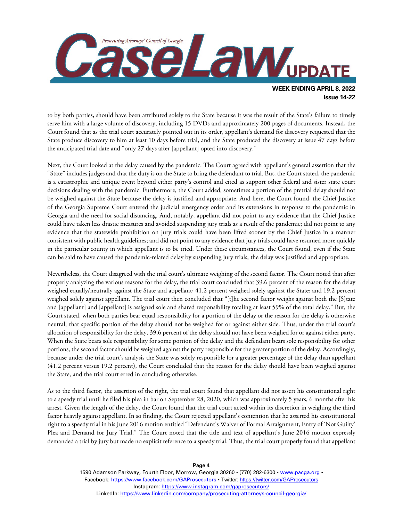

**Issue 14-22**

to by both parties, should have been attributed solely to the State because it was the result of the State's failure to timely serve him with a large volume of discovery, including 15 DVDs and approximately 200 pages of documents. Instead, the Court found that as the trial court accurately pointed out in its order, appellant's demand for discovery requested that the State produce discovery to him at least 10 days before trial, and the State produced the discovery at issue 47 days before the anticipated trial date and "only 27 days after [appellant] opted into discovery."

Next, the Court looked at the delay caused by the pandemic. The Court agreed with appellant's general assertion that the "State" includes judges and that the duty is on the State to bring the defendant to trial. But, the Court stated, the pandemic is a catastrophic and unique event beyond either party's control and cited as support other federal and sister state court decisions dealing with the pandemic. Furthermore, the Court added, sometimes a portion of the pretrial delay should not be weighed against the State because the delay is justified and appropriate. And here, the Court found, the Chief Justice of the Georgia Supreme Court entered the judicial emergency order and its extensions in response to the pandemic in Georgia and the need for social distancing. And, notably, appellant did not point to any evidence that the Chief Justice could have taken less drastic measures and avoided suspending jury trials as a result of the pandemic; did not point to any evidence that the statewide prohibition on jury trials could have been lifted sooner by the Chief Justice in a manner consistent with public health guidelines; and did not point to any evidence that jury trials could have resumed more quickly in the particular county in which appellant is to be tried. Under these circumstances, the Court found, even if the State can be said to have caused the pandemic-related delay by suspending jury trials, the delay was justified and appropriate.

Nevertheless, the Court disagreed with the trial court's ultimate weighing of the second factor. The Court noted that after properly analyzing the various reasons for the delay, the trial court concluded that 39.6 percent of the reason for the delay weighed equally/neutrally against the State and appellant; 41.2 percent weighed solely against the State; and 19.2 percent weighed solely against appellant. The trial court then concluded that "[t]he second factor weighs against both the [S]tate and [appellant] and [appellant] is assigned sole and shared responsibility totaling at least 59% of the total delay." But, the Court stated, when both parties bear equal responsibility for a portion of the delay or the reason for the delay is otherwise neutral, that specific portion of the delay should not be weighed for or against either side. Thus, under the trial court's allocation of responsibility for the delay, 39.6 percent of the delay should not have been weighed for or against either party. When the State bears sole responsibility for some portion of the delay and the defendant bears sole responsibility for other portions, the second factor should be weighed against the party responsible for the greater portion of the delay. Accordingly, because under the trial court's analysis the State was solely responsible for a greater percentage of the delay than appellant (41.2 percent versus 19.2 percent), the Court concluded that the reason for the delay should have been weighed against the State, and the trial court erred in concluding otherwise.

As to the third factor, the assertion of the right, the trial court found that appellant did not assert his constitutional right to a speedy trial until he filed his plea in bar on September 28, 2020, which was approximately 5 years, 6 months after his arrest. Given the length of the delay, the Court found that the trial court acted within its discretion in weighing the third factor heavily against appellant. In so finding, the Court rejected appellant's contention that he asserted his constitutional right to a speedy trial in his June 2016 motion entitled "Defendant's Waiver of Formal Arraignment, Entry of 'Not Guilty' Plea and Demand for Jury Trial." The Court noted that the title and text of appellant's June 2016 motion expressly demanded a trial by jury but made no explicit reference to a speedy trial. Thus, the trial court properly found that appellant

> 1590 Adamson Parkway, Fourth Floor, Morrow, Georgia 30260 · (770) 282-6300 · [www.pacga.org](http://www.pacga.org/) · Facebook:<https://www.facebook.com/GAProsecutors> . Twitter[: https://twitter.com/GAProsecutors](https://twitter.com/GAProsecutors) Instagram[: https://www.instagram.com/gaprosecutors/](https://www.instagram.com/gaprosecutors/) LinkedIn:<https://www.linkedin.com/company/prosecuting-attorneys-council-georgia/>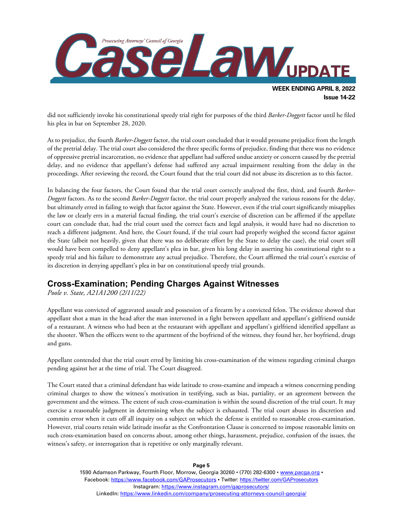

did not sufficiently invoke his constitutional speedy trial right for purposes of the third *Barker-Doggett* factor until he filed his plea in bar on September 28, 2020.

As to prejudice, the fourth *Barker-Doggett* factor, the trial court concluded that it would presume prejudice from the length of the pretrial delay. The trial court also considered the three specific forms of prejudice, finding that there was no evidence of oppressive pretrial incarceration, no evidence that appellant had suffered undue anxiety or concern caused by the pretrial delay, and no evidence that appellant's defense had suffered any actual impairment resulting from the delay in the proceedings. After reviewing the record, the Court found that the trial court did not abuse its discretion as to this factor.

In balancing the four factors, the Court found that the trial court correctly analyzed the first, third, and fourth *Barker-Doggett* factors. As to the second *Barker-Doggett* factor, the trial court properly analyzed the various reasons for the delay, but ultimately erred in failing to weigh that factor against the State. However, even if the trial court significantly misapplies the law or clearly errs in a material factual finding, the trial court's exercise of discretion can be affirmed if the appellate court can conclude that, had the trial court used the correct facts and legal analysis, it would have had no discretion to reach a different judgment. And here, the Court found, if the trial court had properly weighed the second factor against the State (albeit not heavily, given that there was no deliberate effort by the State to delay the case), the trial court still would have been compelled to deny appellant's plea in bar, given his long delay in asserting his constitutional right to a speedy trial and his failure to demonstrate any actual prejudice. Therefore, the Court affirmed the trial court's exercise of its discretion in denying appellant's plea in bar on constitutional speedy trial grounds.

## **Cross-Examination; Pending Charges Against Witnesses**

*Poole v. State, A21A1200 (2/11/22)*

Appellant was convicted of aggravated assault and possession of a firearm by a convicted felon. The evidence showed that appellant shot a man in the head after the man intervened in a fight between appellant and appellant's girlfriend outside of a restaurant. A witness who had been at the restaurant with appellant and appellant's girlfriend identified appellant as the shooter. When the officers went to the apartment of the boyfriend of the witness, they found her, her boyfriend, drugs and guns.

Appellant contended that the trial court erred by limiting his cross-examination of the witness regarding criminal charges pending against her at the time of trial. The Court disagreed.

The Court stated that a criminal defendant has wide latitude to cross-examine and impeach a witness concerning pending criminal charges to show the witness's motivation in testifying, such as bias, partiality, or an agreement between the government and the witness. The extent of such cross-examination is within the sound discretion of the trial court. It may exercise a reasonable judgment in determining when the subject is exhausted. The trial court abuses its discretion and commits error when it cuts off all inquiry on a subject on which the defense is entitled to reasonable cross-examination. However, trial courts retain wide latitude insofar as the Confrontation Clause is concerned to impose reasonable limits on such cross-examination based on concerns about, among other things, harassment, prejudice, confusion of the issues, the witness's safety, or interrogation that is repetitive or only marginally relevant.